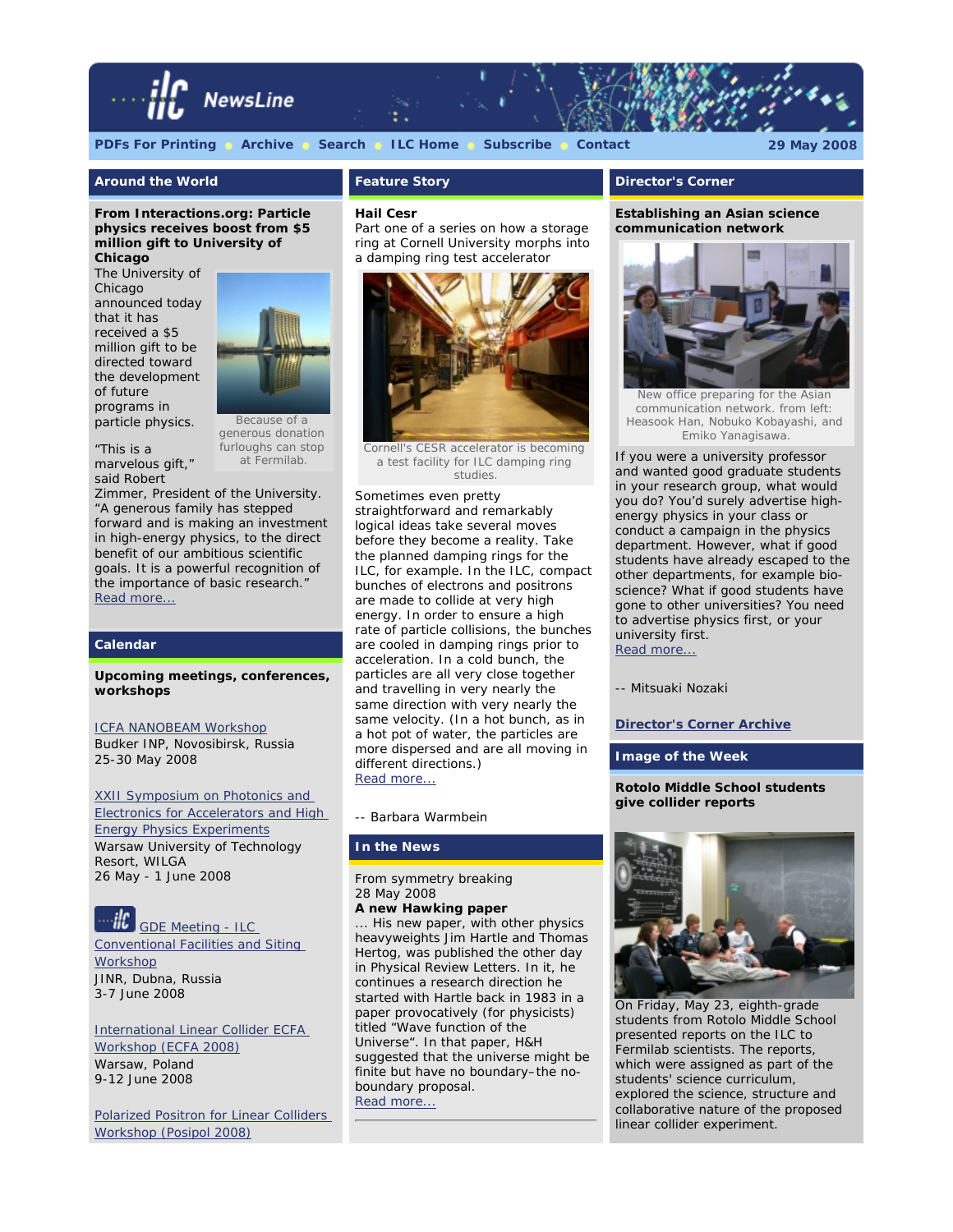

# **[PDFs For Printing](http://www.linearcollider.org/newsline/pdfs_20080529.html) [Archive](http://www.linearcollider.org/newsline/archive/index.html) [Search](http://www.linearcollider.org/cms/?pid=1000263) [ILC Home](http://www.linearcollider.org/) [Subscribe](http://www.linearcollider.org/cms/?pid=1000041) [Contact](mailto:newsline@ilcgde.org) 29 May 2008**

## **Around the World**

*From Interactions.org:* **Particle physics receives boost from \$5 million gift to University of Chicago**

The University of Chicago announced today that it has received a \$5 million gift to be directed toward the development of future programs in particle physics.



"This is a marvelous gift," said Robert

Because of a generous donation furloughs can stop at Fermilab.

Zimmer, President of the University. "A generous family has stepped forward and is making an investment in high-energy physics, to the direct benefit of our ambitious scientific goals. It is a powerful recognition of the importance of basic research." [Read more...](http://www.interactions.org/cms/?pid=1026242)

#### **Calendar**

#### **Upcoming meetings, conferences, workshops**

#### [ICFA NANOBEAM Workshop](http://ssrc.inp.nsk.su/NB08/)

Budker INP, Novosibirsk, Russia 25-30 May 2008

[XXII Symposium on Photonics and](http://wilga.ise.pw.edu.pl/wilga/index.jsf) [Electronics for Accelerators and High](http://wilga.ise.pw.edu.pl/wilga/index.jsf) [Energy Physics Experiments](http://wilga.ise.pw.edu.pl/wilga/index.jsf) Warsaw University of Technology Resort, WILGA 26 May - 1 June 2008

# [GDE Meeting - ILC](http://www.linearcollider.org/cms/?pid=1000500)

[Conventional Facilities and Siting](http://www.linearcollider.org/cms/?pid=1000500) **[Workshop](http://www.linearcollider.org/cms/?pid=1000500)** JINR, Dubna, Russia 3-7 June 2008

[International Linear Collider ECFA](http://ecfa2008.fuw.edu.pl/) [Workshop \(ECFA 2008\)](http://ecfa2008.fuw.edu.pl/) Warsaw, Poland 9-12 June 2008

[Polarized Positron for Linear Colliders](http://home.hiroshima-u.ac.jp/posipol/) [Workshop \(Posipol 2008\)](http://home.hiroshima-u.ac.jp/posipol/)

# **Feature Story**

#### **Hail Cesr**

*Part one of a series on how a storage ring at Cornell University morphs into a damping ring test accelerator*



Cornell's CESR accelerator is becoming a test facility for ILC damping ring studies.

Sometimes even pretty straightforward and remarkably logical ideas take several moves before they become a reality. Take the planned damping rings for the ILC, for example. In the ILC, compact bunches of electrons and positrons are made to collide at very high energy. In order to ensure a high rate of particle collisions, the bunches are cooled in damping rings prior to acceleration. In a cold bunch, the particles are all very close together and travelling in very nearly the same direction with very nearly the same velocity. (In a hot bunch, as in a hot pot of water, the particles are more dispersed and are all moving in different directions.) [Read more...](http://www.linearcollider.org/newsline/readmore_20080529_ftr1.html)

#### *-- Barbara Warmbein*

## **In the News**

From *symmetry breaking* 28 May 2008

# **A new Hawking paper**

... His new paper, with other physics heavyweights Jim Hartle and Thomas Hertog, was published the other day in Physical Review Letters. In it, he continues a research direction he started with Hartle back in 1983 in a paper provocatively (for physicists) titled "Wave function of the Universe". In that paper, H&H suggested that the universe might be finite but have no boundary–the noboundary proposal. [Read more...](http://www.symmetrymagazine.org/breaking/2008/05/28/a-new-hawking-paper/)

#### **Director's Corner**

#### **Establishing an Asian science communication network**



New office preparing for the Asian communication network. from left: Heasook Han, Nobuko Kobayashi, and Emiko Yanagisawa.

If you were a university professor and wanted good graduate students in your research group, what would you do? You'd surely advertise highenergy physics in your class or conduct a campaign in the physics department. However, what if good students have already escaped to the other departments, for example bioscience? What if good students have gone to other universities? You need to advertise physics first, or your university first. [Read more...](http://www.linearcollider.org/cms/?pid=1000540)

#### *-- Mitsuaki Nozaki*

**[Director's Corner Archive](http://www.linearcollider.org/cms/?pid=1000026)**

**Image of the Week**

#### **Rotolo Middle School students give collider reports**



On Friday, May 23, eighth-grade students from Rotolo Middle School presented reports on the ILC to Fermilab scientists. The reports, which were assigned as part of the students' science curriculum, explored the science, structure and collaborative nature of the proposed linear collider experiment.